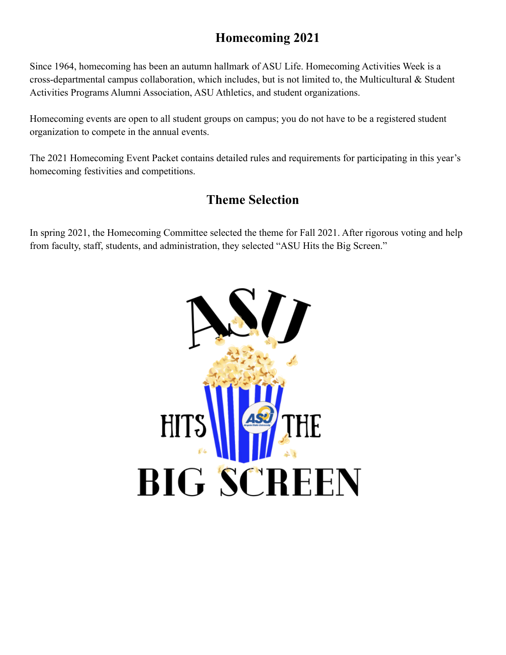# **Homecoming 2021**

Since 1964, homecoming has been an autumn hallmark of ASU Life. Homecoming Activities Week is a cross-departmental campus collaboration, which includes, but is not limited to, the Multicultural & Student Activities Programs Alumni Association, ASU Athletics, and student organizations.

Homecoming events are open to all student groups on campus; you do not have to be a registered student organization to compete in the annual events.

The 2021 Homecoming Event Packet contains detailed rules and requirements for participating in this year's homecoming festivities and competitions.

## **Theme Selection**

In spring 2021, the Homecoming Committee selected the theme for Fall 2021. After rigorous voting and help from faculty, staff, students, and administration, they selected "ASU Hits the Big Screen."

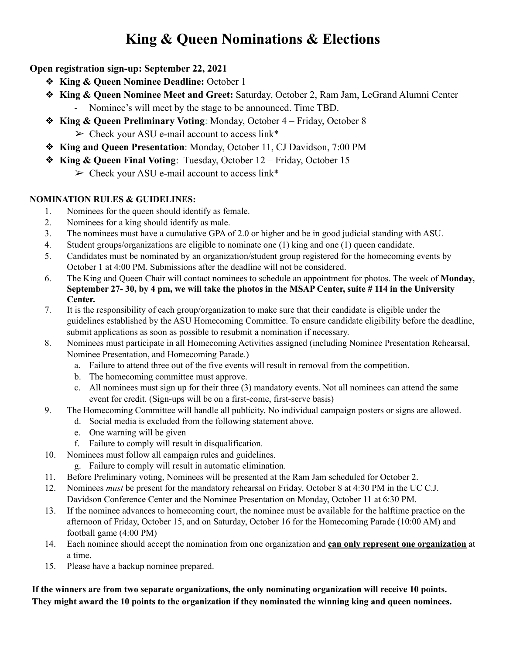# **King & Queen Nominations & Elections**

### **Open registration sign-up: September 22, 2021**

- ❖ **King & Queen Nominee Deadline:** October 1
- ❖ **King & Queen Nominee Meet and Greet:** Saturday, October 2, Ram Jam, LeGrand Alumni Center - Nominee's will meet by the stage to be announced. Time TBD.
- ❖ **King & Queen Preliminary Voting**: Monday, October 4 Friday, October 8  $\triangleright$  Check your ASU e-mail account to access link\*
- ❖ **King and Queen Presentation**: Monday, October 11, CJ Davidson, 7:00 PM
- ❖ **King & Queen Final Voting**: Tuesday, October 12 Friday, October 15
	- $\triangleright$  Check your ASU e-mail account to access link\*

#### **NOMINATION RULES & GUIDELINES:**

- 1. Nominees for the queen should identify as female.
- 2. Nominees for a king should identify as male.
- 3. The nominees must have a cumulative GPA of 2.0 or higher and be in good judicial standing with ASU.
- 4. Student groups/organizations are eligible to nominate one (1) king and one (1) queen candidate.
- 5. Candidates must be nominated by an organization/student group registered for the homecoming events by October 1 at 4:00 PM. Submissions after the deadline will not be considered.
- 6. The King and Queen Chair will contact nominees to schedule an appointment for photos. The week of **Monday,** September 27-30, by 4 pm, we will take the photos in the MSAP Center, suite #114 in the University **Center.**
- 7. It is the responsibility of each group/organization to make sure that their candidate is eligible under the guidelines established by the ASU Homecoming Committee. To ensure candidate eligibility before the deadline, submit applications as soon as possible to resubmit a nomination if necessary.
- 8. Nominees must participate in all Homecoming Activities assigned (including Nominee Presentation Rehearsal, Nominee Presentation, and Homecoming Parade.)
	- a. Failure to attend three out of the five events will result in removal from the competition.
	- b. The homecoming committee must approve.
	- c. All nominees must sign up for their three (3) mandatory events. Not all nominees can attend the same event for credit. (Sign-ups will be on a first-come, first-serve basis)
- 9. The Homecoming Committee will handle all publicity. No individual campaign posters or signs are allowed.
	- d. Social media is excluded from the following statement above.
	- e. One warning will be given
	- f. Failure to comply will result in disqualification.
- 10. Nominees must follow all campaign rules and guidelines.
	- g. Failure to comply will result in automatic elimination.
- 11. Before Preliminary voting, Nominees will be presented at the Ram Jam scheduled for October 2.
- 12. Nominees *must* be present for the mandatory rehearsal on Friday, October 8 at 4:30 PM in the UC C.J. Davidson Conference Center and the Nominee Presentation on Monday, October 11 at 6:30 PM.
- 13. If the nominee advances to homecoming court, the nominee must be available for the halftime practice on the afternoon of Friday, October 15, and on Saturday, October 16 for the Homecoming Parade (10:00 AM) and football game (4:00 PM)
- 14. Each nominee should accept the nomination from one organization and **can only represent one organization** at a time.
- 15. Please have a backup nominee prepared.

**If the winners are from two separate organizations, the only nominating organization will receive 10 points.** They might award the 10 points to the organization if they nominated the winning king and queen nominees.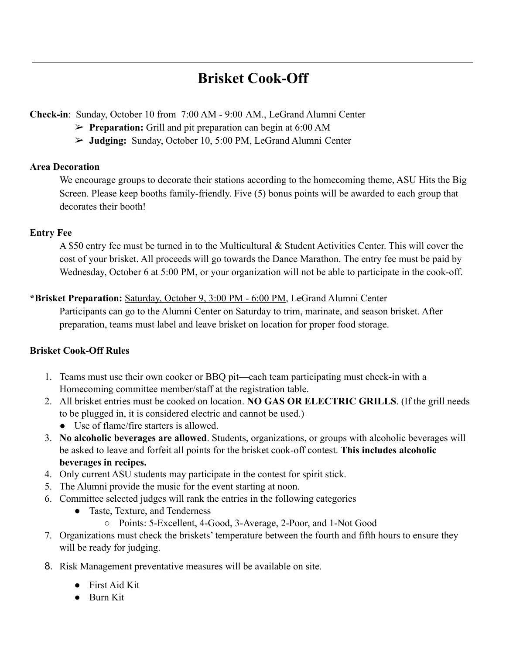# **Brisket Cook-Off**

**Check-in**: Sunday, October 10 from 7:00 AM - 9:00 AM., LeGrand Alumni Center

- ➢ **Preparation:** Grill and pit preparation can begin at 6:00 AM
- ➢ **Judging:** Sunday, October 10, 5:00 PM, LeGrand Alumni Center

#### **Area Decoration**

We encourage groups to decorate their stations according to the homecoming theme, ASU Hits the Big Screen. Please keep booths family-friendly. Five (5) bonus points will be awarded to each group that decorates their booth!

### **Entry Fee**

A \$50 entry fee must be turned in to the Multicultural & Student Activities Center. This will cover the cost of your brisket. All proceeds will go towards the Dance Marathon. The entry fee must be paid by Wednesday, October 6 at 5:00 PM, or your organization will not be able to participate in the cook-off.

**\*Brisket Preparation:** Saturday, October 9, 3:00 PM - 6:00 PM, LeGrand Alumni Center

Participants can go to the Alumni Center on Saturday to trim, marinate, and season brisket. After preparation, teams must label and leave brisket on location for proper food storage.

### **Brisket Cook-Off Rules**

- 1. Teams must use their own cooker or BBQ pit—each team participating must check-in with a Homecoming committee member/staff at the registration table.
- 2. All brisket entries must be cooked on location. **NO GAS OR ELECTRIC GRILLS**. (If the grill needs to be plugged in, it is considered electric and cannot be used.)
	- Use of flame/fire starters is allowed.
- 3. **No alcoholic beverages are allowed**. Students, organizations, or groups with alcoholic beverages will be asked to leave and forfeit all points for the brisket cook-off contest. **This includes alcoholic beverages in recipes.**
- 4. Only current ASU students may participate in the contest for spirit stick.
- 5. The Alumni provide the music for the event starting at noon.
- 6. Committee selected judges will rank the entries in the following categories
	- Taste, Texture, and Tenderness
		- Points: 5-Excellent, 4-Good, 3-Average, 2-Poor, and 1-Not Good
- 7. Organizations must check the briskets' temperature between the fourth and fifth hours to ensure they will be ready for judging.
- 8. Risk Management preventative measures will be available on site.
	- $\bullet$  First Aid Kit
	- Burn Kit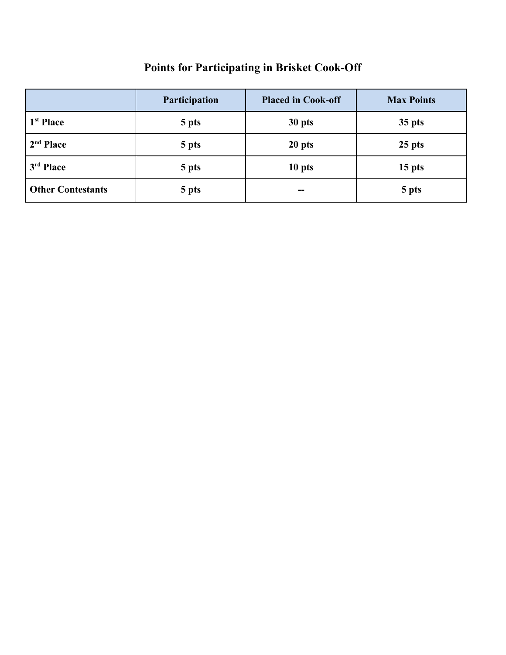# **Points for Participating in Brisket Cook-Off**

|                          | Participation | <b>Placed in Cook-off</b> | <b>Max Points</b> |
|--------------------------|---------------|---------------------------|-------------------|
| 1 <sup>st</sup> Place    | 5 pts         | 30 pts                    | 35 pts            |
| 2 <sup>nd</sup> Place    | 5 pts         | 20 pts                    | $25$ pts          |
| 3rd Place                | 5 pts         | 10 pts                    | $15$ pts          |
| <b>Other Contestants</b> | 5 pts         | $- -$                     | 5 pts             |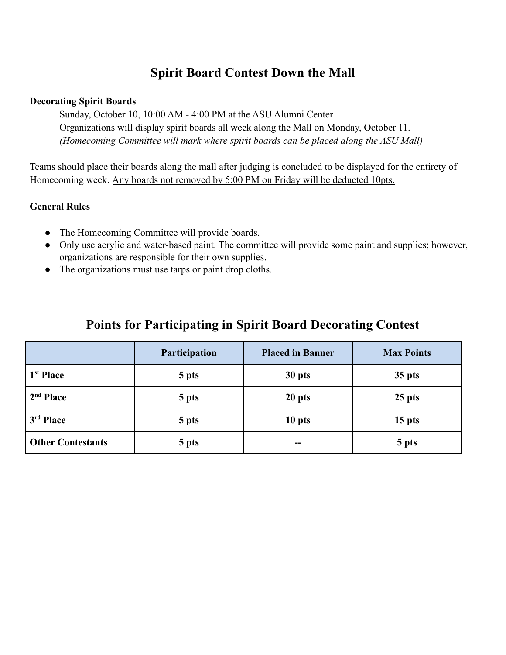# **Spirit Board Contest Down the Mall**

#### **Decorating Spirit Boards**

Sunday, October 10, 10:00 AM - 4:00 PM at the ASU Alumni Center Organizations will display spirit boards all week along the Mall on Monday, October 11. *(Homecoming Committee will mark where spirit boards can be placed along the ASU Mall)*

Teams should place their boards along the mall after judging is concluded to be displayed for the entirety of Homecoming week. Any boards not removed by 5:00 PM on Friday will be deducted 10pts.

### **General Rules**

- The Homecoming Committee will provide boards.
- Only use acrylic and water-based paint. The committee will provide some paint and supplies; however, organizations are responsible for their own supplies.
- The organizations must use tarps or paint drop cloths.

|                          | Participation | <b>Placed in Banner</b> | <b>Max Points</b> |
|--------------------------|---------------|-------------------------|-------------------|
| 1 <sup>st</sup> Place    | 5 pts         | 30 pts                  | $35$ pts          |
| 2 <sup>nd</sup> Place    | 5 pts         | 20 pts                  | $25$ pts          |
| 3 <sup>rd</sup> Place    | 5 pts         | 10 pts                  | 15 <sub>pts</sub> |
| <b>Other Contestants</b> | 5 pts         |                         | 5 pts             |

# **Points for Participating in Spirit Board Decorating Contest**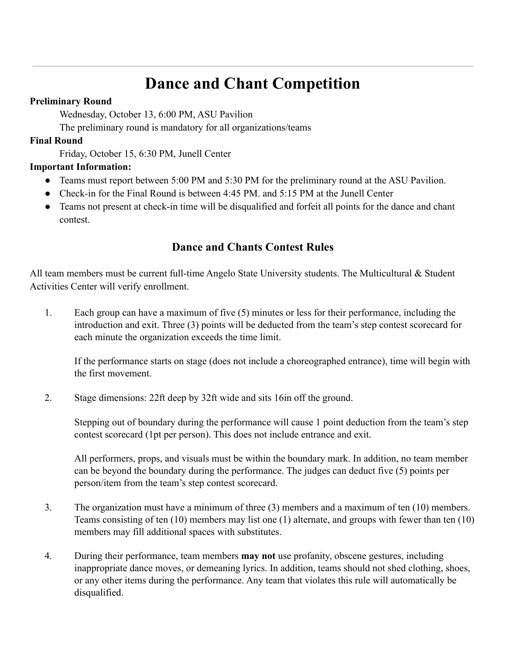# **Dance and Chant Competition**

#### **Preliminary Round**

Wednesday, October 13, 6:00 PM, ASU Pavilion

The preliminary round is mandatory for all organizations/teams

### **Final Round**

Friday, October 15, 6:30 PM, Junell Center

### **Important Information:**

- Teams must report between 5:00 PM and 5:30 PM for the preliminary round at the ASU Pavilion.
- Check-in for the Final Round is between 4:45 PM, and 5:15 PM at the Junell Center
- Teams not present at check-in time will be disqualified and forfeit all points for the dance and chant contest.

### **Dance and Chants Contest Rules**

All team members must be current full-time Angelo State University students. The Multicultural & Student Activities Center will verify enrollment.

1. Each group can have a maximum of five (5) minutes or less for their performance, including the introduction and exit. Three (3) points will be deducted from the team's step contest scorecard for each minute the organization exceeds the time limit.

If the performance starts on stage (does not include a choreographed entrance), time will begin with the first movement.

2. Stage dimensions: 22ft deep by 32ft wide and sits 16in off the ground.

Stepping out of boundary during the performance will cause 1 point deduction from the team's step contest scorecard (1pt per person). This does not include entrance and exit.

All performers, props, and visuals must be within the boundary mark. In addition, no team member can be beyond the boundary during the performance. The judges can deduct five (5) points per person/item from the team's step contest scorecard.

- 3. The organization must have a minimum of three (3) members and a maximum of ten (10) members. Teams consisting of ten (10) members may list one (1) alternate, and groups with fewer than ten (10) members may fill additional spaces with substitutes.
- 4. During their performance, team members **may not** use profanity, obscene gestures, including inappropriate dance moves, or demeaning lyrics. In addition, teams should not shed clothing, shoes, or any other items during the performance. Any team that violates this rule will automatically be disqualified.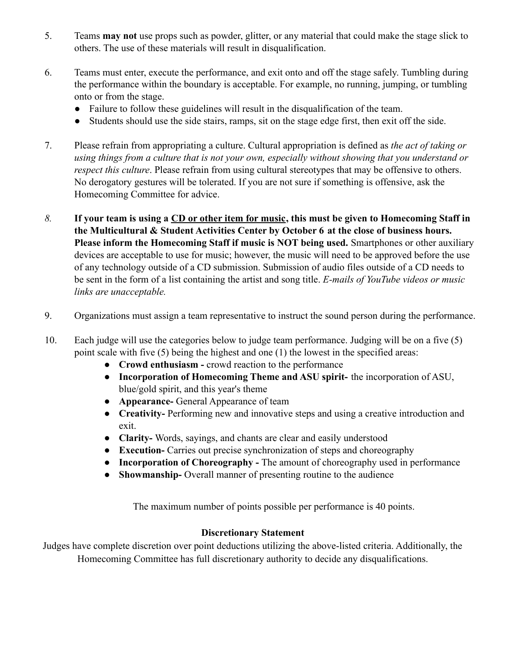- 5. Teams **may not** use props such as powder, glitter, or any material that could make the stage slick to others. The use of these materials will result in disqualification.
- 6. Teams must enter, execute the performance, and exit onto and off the stage safely. Tumbling during the performance within the boundary is acceptable. For example, no running, jumping, or tumbling onto or from the stage.
	- Failure to follow these guidelines will result in the disqualification of the team.
	- Students should use the side stairs, ramps, sit on the stage edge first, then exit off the side.
- 7. Please refrain from appropriating a culture. Cultural appropriation is defined as *the act of taking or using things from a culture that is not your own, especially without showing that you understand or respect this culture*. Please refrain from using cultural stereotypes that may be offensive to others. No derogatory gestures will be tolerated. If you are not sure if something is offensive, ask the Homecoming Committee for advice.
- *8.* **If your team is using a CD or other item for music, this must be given to Homecoming Staff in the Multicultural & Student Activities Center by October 6 at the close of business hours. Please inform the Homecoming Staff if music is NOT being used.** Smartphones or other auxiliary devices are acceptable to use for music; however, the music will need to be approved before the use of any technology outside of a CD submission. Submission of audio files outside of a CD needs to be sent in the form of a list containing the artist and song title. *E-mails of YouTube videos or music links are unacceptable.*
- 9. Organizations must assign a team representative to instruct the sound person during the performance.
- 10. Each judge will use the categories below to judge team performance. Judging will be on a five (5) point scale with five (5) being the highest and one (1) the lowest in the specified areas:
	- **Crowd enthusiasm -** crowd reaction to the performance
	- **Incorporation of Homecoming Theme and ASU spirit-** the incorporation of ASU, blue/gold spirit, and this year's theme
	- **Appearance-** General Appearance of team
	- **Creativity-** Performing new and innovative steps and using a creative introduction and exit.
	- **Clarity-** Words, sayings, and chants are clear and easily understood
	- **Execution-** Carries out precise synchronization of steps and choreography
	- **Incorporation of Choreography -** The amount of choreography used in performance
	- **Showmanship-** Overall manner of presenting routine to the audience

The maximum number of points possible per performance is 40 points.

#### **Discretionary Statement**

Judges have complete discretion over point deductions utilizing the above-listed criteria. Additionally, the Homecoming Committee has full discretionary authority to decide any disqualifications.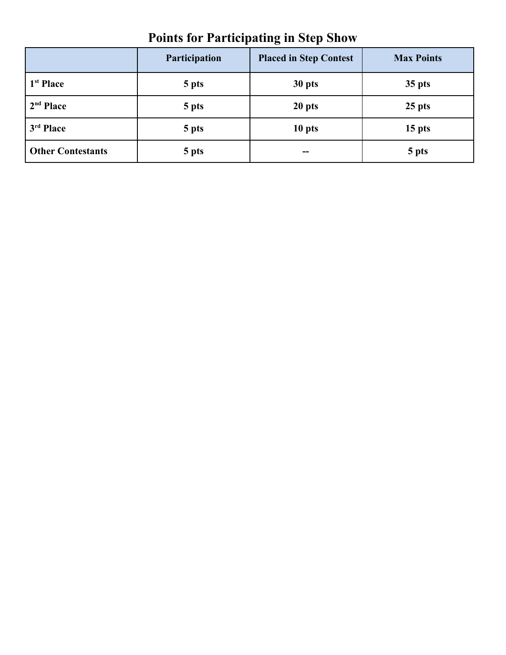| <b>Points for Participating in Step Show</b> |  |  |  |
|----------------------------------------------|--|--|--|
|----------------------------------------------|--|--|--|

|                          | Participation | <b>Placed in Step Contest</b> | <b>Max Points</b> |
|--------------------------|---------------|-------------------------------|-------------------|
| 1 <sup>st</sup> Place    | 5 pts         | 30 pts                        | $35$ pts          |
| 2 <sup>nd</sup> Place    | 5 pts         | 20 pts                        | $25$ pts          |
| 3 <sup>rd</sup> Place    | 5 pts         | 10 <sub>pts</sub>             | 15 <sub>pts</sub> |
| <b>Other Contestants</b> | 5 pts         | $\overline{\phantom{a}}$      | 5 pts             |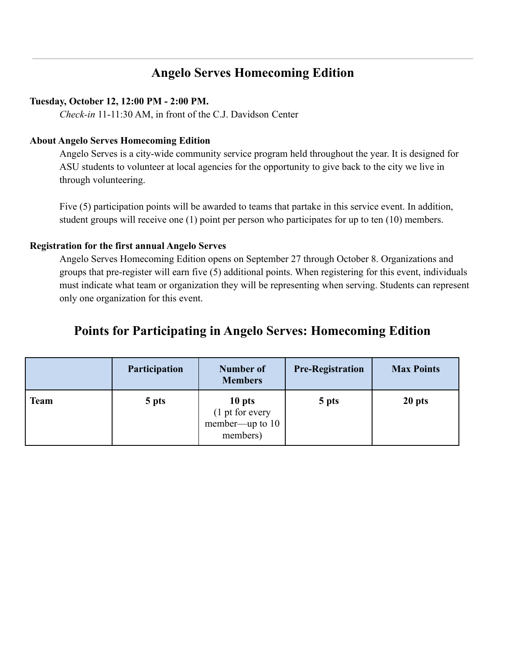## **Angelo Serves Homecoming Edition**

#### **Tuesday, October 12, 12:00 PM - 2:00 PM.**

*Check-in* 11-11:30 AM, in front of the C.J. Davidson Center

#### **About Angelo Serves Homecoming Edition**

Angelo Serves is a city-wide community service program held throughout the year. It is designed for ASU students to volunteer at local agencies for the opportunity to give back to the city we live in through volunteering.

Five (5) participation points will be awarded to teams that partake in this service event. In addition, student groups will receive one (1) point per person who participates for up to ten (10) members.

#### **Registration for the first annual Angelo Serves**

Angelo Serves Homecoming Edition opens on September 27 through October 8. Organizations and groups that pre-register will earn five (5) additional points. When registering for this event, individuals must indicate what team or organization they will be representing when serving. Students can represent only one organization for this event.

### **Points for Participating in Angelo Serves: Homecoming Edition**

|      | <b>Participation</b> | Number of<br><b>Members</b>                                        | <b>Pre-Registration</b> | <b>Max Points</b> |
|------|----------------------|--------------------------------------------------------------------|-------------------------|-------------------|
| Team | 5 pts                | 10 pts<br>$(1 \text{ pt for every}$<br>member—up to 10<br>members) | 5 pts                   | 20 <sub>pts</sub> |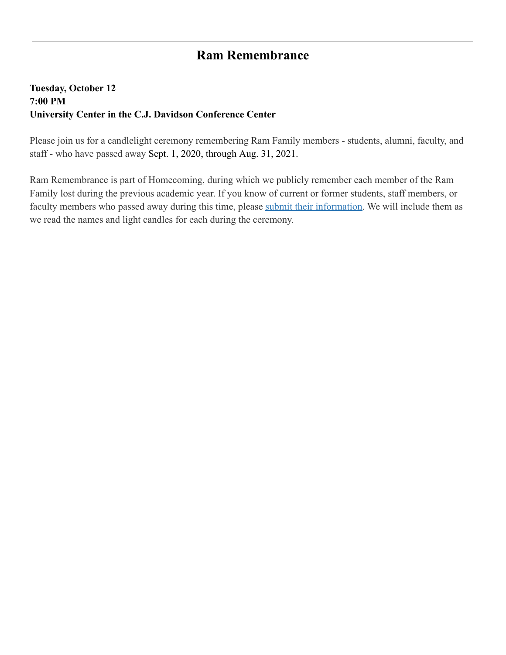## **Ram Remembrance**

### **Tuesday, October 12 7:00 PM University Center in the C.J. Davidson Conference Center**

Please join us for a candlelight ceremony remembering Ram Family members - students, alumni, faculty, and staff - who have passed away Sept. 1, 2020, through Aug. 31, 2021.

Ram Remembrance is part of Homecoming, during which we publicly remember each member of the Ram Family lost during the previous academic year. If you know of current or former students, staff members, or faculty members who passed away during this time, please [submit their information.](https://www.angelo.edu/content/forms/646-in-memoriam-submissions-for-the-asu-magazine) We will include them as we read the names and light candles for each during the ceremony.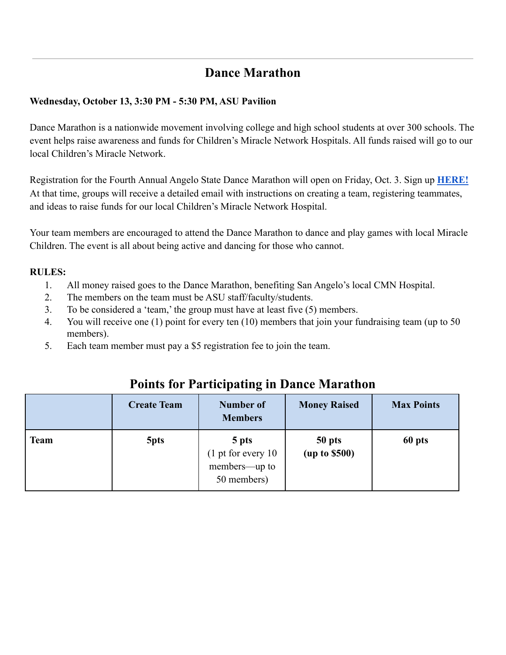## **Dance Marathon**

### **Wednesday, October 13, 3:30 PM - 5:30 PM, ASU Pavilion**

Dance Marathon is a nationwide movement involving college and high school students at over 300 schools. The event helps raise awareness and funds for Children's Miracle Network Hospitals. All funds raised will go to our local Children's Miracle Network.

Registration for the Fourth Annual Angelo State Dance Marathon will open on Friday, Oct. 3. Sign up **[HERE!](https://events.dancemarathon.com/index.cfm?fuseaction=donorDrive.event&eventID=4950)** At that time, groups will receive a detailed email with instructions on creating a team, registering teammates, and ideas to raise funds for our local Children's Miracle Network Hospital.

Your team members are encouraged to attend the Dance Marathon to dance and play games with local Miracle Children. The event is all about being active and dancing for those who cannot.

### **RULES:**

- 1. All money raised goes to the Dance Marathon, benefiting San Angelo's local CMN Hospital.
- 2. The members on the team must be ASU staff/faculty/students.
- 3. To be considered a 'team,' the group must have at least five (5) members.
- 4. You will receive one (1) point for every ten (10) members that join your fundraising team (up to 50 members).
- 5. Each team member must pay a \$5 registration fee to join the team.

|             | <b>Create Team</b> | <b>Number of</b><br><b>Members</b>                            | <b>Money Raised</b>     | <b>Max Points</b> |
|-------------|--------------------|---------------------------------------------------------------|-------------------------|-------------------|
| <b>Team</b> | 5 <sub>pts</sub>   | 5 pts<br>$(1$ pt for every 10<br>members—up to<br>50 members) | 50 pts<br>(up to \$500) | 60 pts            |

### **Points for Participating in Dance Marathon**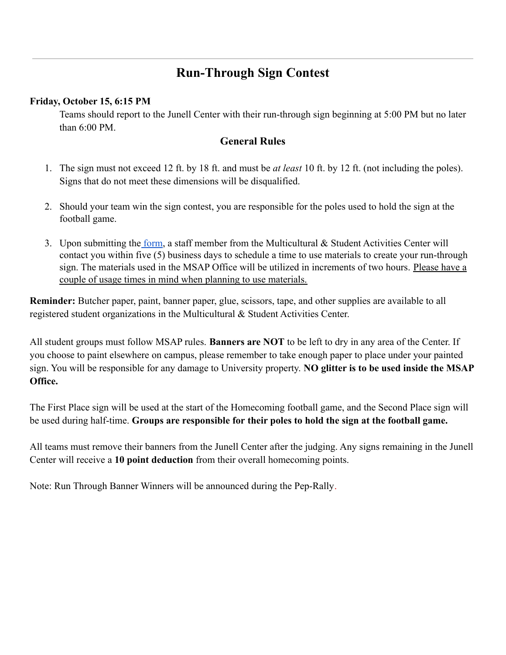# **Run-Through Sign Contest**

#### **Friday, October 15, 6:15 PM**

Teams should report to the Junell Center with their run-through sign beginning at 5:00 PM but no later than  $6:00$  PM

### **General Rules**

- 1. The sign must not exceed 12 ft. by 18 ft. and must be *at least* 10 ft. by 12 ft. (not including the poles). Signs that do not meet these dimensions will be disqualified.
- 2. Should your team win the sign contest, you are responsible for the poles used to hold the sign at the football game.
- 3. Upon submitting the [form,](https://www.angelo.edu/live/forms/1439-run-through-sign-contest) a staff member from the Multicultural & Student Activities Center will contact you within five (5) business days to schedule a time to use materials to create your run-through sign. The materials used in the MSAP Office will be utilized in increments of two hours. Please have a couple of usage times in mind when planning to use materials.

**Reminder:** Butcher paper, paint, banner paper, glue, scissors, tape, and other supplies are available to all registered student organizations in the Multicultural & Student Activities Center.

All student groups must follow MSAP rules. **Banners are NOT** to be left to dry in any area of the Center. If you choose to paint elsewhere on campus, please remember to take enough paper to place under your painted sign. You will be responsible for any damage to University property. **NO glitter is to be used inside the MSAP Office.**

The First Place sign will be used at the start of the Homecoming football game, and the Second Place sign will be used during half-time. **Groups are responsible for their poles to hold the sign at the football game.**

All teams must remove their banners from the Junell Center after the judging. Any signs remaining in the Junell Center will receive a **10 point deduction** from their overall homecoming points.

Note: Run Through Banner Winners will be announced during the Pep-Rally.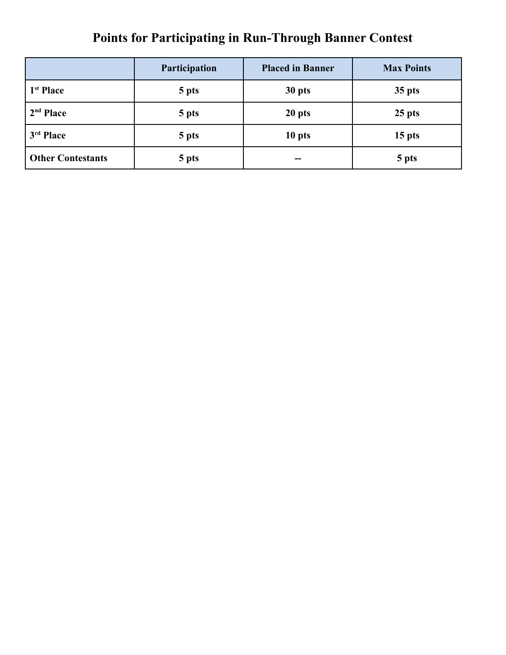# **Points for Participating in Run-Through Banner Contest**

|                          | Participation | <b>Placed in Banner</b> | <b>Max Points</b> |
|--------------------------|---------------|-------------------------|-------------------|
| 1 <sup>st</sup> Place    | 5 pts         | 30 pts                  | $35$ pts          |
| 2 <sup>nd</sup> Place    | 5 pts         | 20 pts                  | $25$ pts          |
| 3 <sup>rd</sup> Place    | 5 pts         | 10 pts                  | 15 <sub>pts</sub> |
| <b>Other Contestants</b> | 5 pts         | --                      | 5 pts             |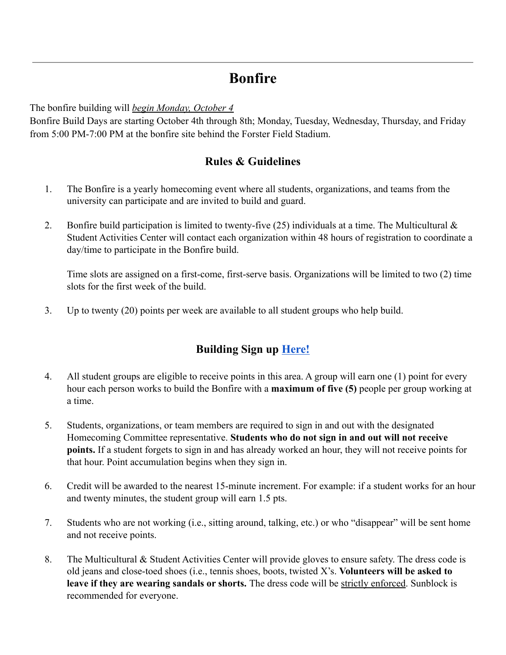# **Bonfire**

The bonfire building will *begin Monday, October 4*

Bonfire Build Days are starting October 4th through 8th; Monday, Tuesday, Wednesday, Thursday, and Friday from 5:00 PM-7:00 PM at the bonfire site behind the Forster Field Stadium.

### **Rules & Guidelines**

- 1. The Bonfire is a yearly homecoming event where all students, organizations, and teams from the university can participate and are invited to build and guard.
- 2. Bonfire build participation is limited to twenty-five (25) individuals at a time. The Multicultural  $\&$ Student Activities Center will contact each organization within 48 hours of registration to coordinate a day/time to participate in the Bonfire build.

Time slots are assigned on a first-come, first-serve basis. Organizations will be limited to two (2) time slots for the first week of the build.

3. Up to twenty (20) points per week are available to all student groups who help build.

### **Building Sign up [Here!](https://forms.gle/7P3nQn95NuaN8JwA7)**

- 4. All student groups are eligible to receive points in this area. A group will earn one (1) point for every hour each person works to build the Bonfire with a **maximum of five (5)** people per group working at a time.
- 5. Students, organizations, or team members are required to sign in and out with the designated Homecoming Committee representative. **Students who do not sign in and out will not receive points.** If a student forgets to sign in and has already worked an hour, they will not receive points for that hour. Point accumulation begins when they sign in.
- 6. Credit will be awarded to the nearest 15-minute increment. For example: if a student works for an hour and twenty minutes, the student group will earn 1.5 pts.
- 7. Students who are not working (i.e., sitting around, talking, etc.) or who "disappear" will be sent home and not receive points.
- 8. The Multicultural & Student Activities Center will provide gloves to ensure safety. The dress code is old jeans and close-toed shoes (i.e., tennis shoes, boots, twisted X's. **Volunteers will be asked to leave if they are wearing sandals or shorts.** The dress code will be strictly enforced. Sunblock is recommended for everyone.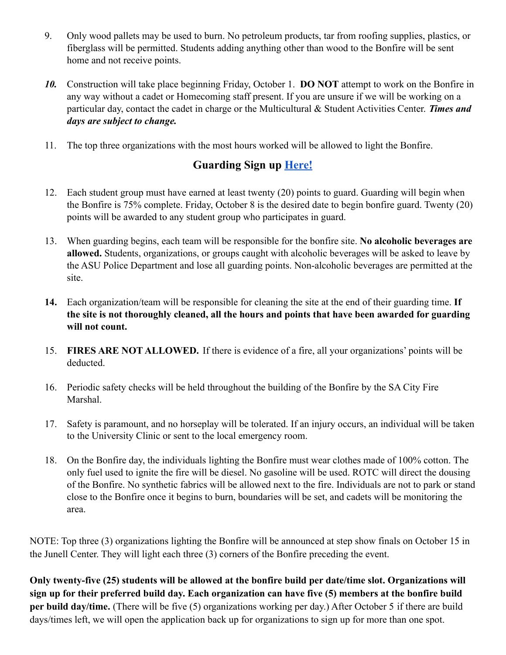- 9. Only wood pallets may be used to burn. No petroleum products, tar from roofing supplies, plastics, or fiberglass will be permitted. Students adding anything other than wood to the Bonfire will be sent home and not receive points.
- *10.* Construction will take place beginning Friday, October 1. **DO NOT** attempt to work on the Bonfire in any way without a cadet or Homecoming staff present. If you are unsure if we will be working on a particular day, contact the cadet in charge or the Multicultural & Student Activities Center. *Times and days are subject to change.*
- 11. The top three organizations with the most hours worked will be allowed to light the Bonfire.

### **Guarding Sign up [Here!](https://forms.gle/SdY4HgLexJhNTQqk6)**

- 12. Each student group must have earned at least twenty (20) points to guard. Guarding will begin when the Bonfire is 75% complete. Friday, October 8 is the desired date to begin bonfire guard. Twenty (20) points will be awarded to any student group who participates in guard.
- 13. When guarding begins, each team will be responsible for the bonfire site. **No alcoholic beverages are allowed.** Students, organizations, or groups caught with alcoholic beverages will be asked to leave by the ASU Police Department and lose all guarding points. Non-alcoholic beverages are permitted at the site.
- **14.** Each organization/team will be responsible for cleaning the site at the end of their guarding time. **If the site is not thoroughly cleaned, all the hours and points that have been awarded for guarding will not count.**
- 15. **FIRES ARE NOT ALLOWED.** If there is evidence of a fire, all your organizations' points will be deducted.
- 16. Periodic safety checks will be held throughout the building of the Bonfire by the SA City Fire Marshal.
- 17. Safety is paramount, and no horseplay will be tolerated. If an injury occurs, an individual will be taken to the University Clinic or sent to the local emergency room.
- 18. On the Bonfire day, the individuals lighting the Bonfire must wear clothes made of 100% cotton. The only fuel used to ignite the fire will be diesel. No gasoline will be used. ROTC will direct the dousing of the Bonfire. No synthetic fabrics will be allowed next to the fire. Individuals are not to park or stand close to the Bonfire once it begins to burn, boundaries will be set, and cadets will be monitoring the area.

NOTE: Top three (3) organizations lighting the Bonfire will be announced at step show finals on October 15 in the Junell Center. They will light each three (3) corners of the Bonfire preceding the event.

**Only twenty-five (25) students will be allowed at the bonfire build per date/time slot. Organizations will sign up for their preferred build day. Each organization can have five (5) members at the bonfire build per build day/time.** (There will be five (5) organizations working per day.) After October 5 if there are build days/times left, we will open the application back up for organizations to sign up for more than one spot.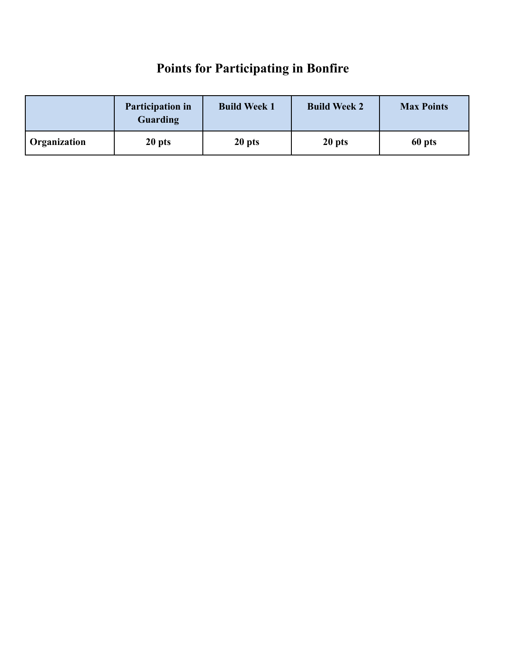# **Points for Participating in Bonfire**

|                           | <b>Participation in</b><br>Guarding | <b>Build Week 1</b> | <b>Build Week 2</b> | <b>Max Points</b> |
|---------------------------|-------------------------------------|---------------------|---------------------|-------------------|
| <sup>1</sup> Organization | 20 pts                              | 20 pts              | 20 pts              | 60 pts            |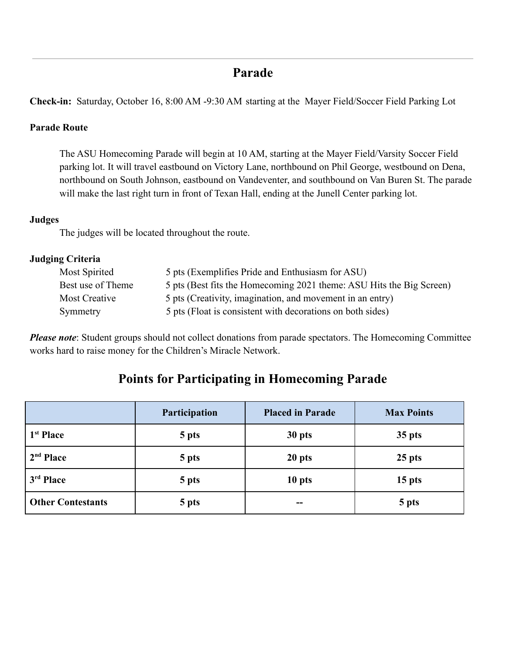## **Parade**

**Check-in:** Saturday, October 16, 8:00 AM -9:30 AM starting at the Mayer Field/Soccer Field Parking Lot

### **Parade Route**

The ASU Homecoming Parade will begin at 10 AM, starting at the Mayer Field/Varsity Soccer Field parking lot. It will travel eastbound on Victory Lane, northbound on Phil George, westbound on Dena, northbound on South Johnson, eastbound on Vandeventer, and southbound on Van Buren St. The parade will make the last right turn in front of Texan Hall, ending at the Junell Center parking lot.

### **Judges**

The judges will be located throughout the route.

### **Judging Criteria**

| Most Spirited     | 5 pts (Exemplifies Pride and Enthusiasm for ASU)                     |
|-------------------|----------------------------------------------------------------------|
| Best use of Theme | 5 pts (Best fits the Homecoming 2021 theme: ASU Hits the Big Screen) |
| Most Creative     | 5 pts (Creativity, imagination, and movement in an entry)            |
| Symmetry          | 5 pts (Float is consistent with decorations on both sides)           |

*Please note*: Student groups should not collect donations from parade spectators. The Homecoming Committee works hard to raise money for the Children's Miracle Network.

# **Points for Participating in Homecoming Parade**

|                          | Participation | <b>Placed in Parade</b> | <b>Max Points</b> |
|--------------------------|---------------|-------------------------|-------------------|
| 1 <sup>st</sup> Place    | 5 pts         | 30 pts                  | $35$ pts          |
| $2nd$ Place              | 5 pts         | 20 pts                  | $25$ pts          |
| 3 <sup>rd</sup> Place    | 5 pts         | 10 pts                  | $15$ pts          |
| <b>Other Contestants</b> | 5 pts         | --                      | 5 pts             |